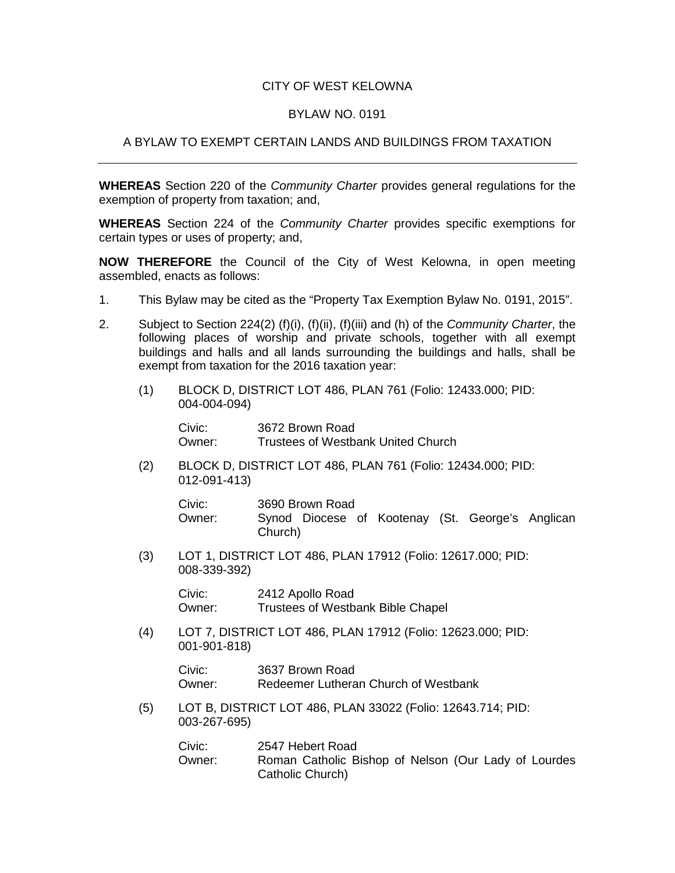## CITY OF WEST KELOWNA

## BYLAW NO. 0191

## A BYLAW TO EXEMPT CERTAIN LANDS AND BUILDINGS FROM TAXATION

**WHEREAS** Section 220 of the *Community Charter* provides general regulations for the exemption of property from taxation; and,

**WHEREAS** Section 224 of the *Community Charter* provides specific exemptions for certain types or uses of property; and,

**NOW THEREFORE** the Council of the City of West Kelowna, in open meeting assembled, enacts as follows:

- 1. This Bylaw may be cited as the "Property Tax Exemption Bylaw No. 0191, 2015".
- 2. Subject to Section 224(2) (f)(i), (f)(ii), (f)(iii) and (h) of the *Community Charter*, the following places of worship and private schools, together with all exempt buildings and halls and all lands surrounding the buildings and halls, shall be exempt from taxation for the 2016 taxation year:
	- (1) BLOCK D, DISTRICT LOT 486, PLAN 761 (Folio: 12433.000; PID: 004-004-094)

Civic: 3672 Brown Road Owner: Trustees of Westbank United Church

(2) BLOCK D, DISTRICT LOT 486, PLAN 761 (Folio: 12434.000; PID: 012-091-413)

| Civic: | 3690 Brown Road |  |  |                                                  |  |  |  |  |
|--------|-----------------|--|--|--------------------------------------------------|--|--|--|--|
| Owner: | Church)         |  |  | Synod Diocese of Kootenay (St. George's Anglican |  |  |  |  |

(3) LOT 1, DISTRICT LOT 486, PLAN 17912 (Folio: 12617.000; PID: 008-339-392)

> Civic: 2412 Apollo Road<br>Owner: Trustees of Westb Trustees of Westbank Bible Chapel

(4) LOT 7, DISTRICT LOT 486, PLAN 17912 (Folio: 12623.000; PID: 001-901-818)

> Civic: 3637 Brown Road Owner: Redeemer Lutheran Church of Westbank

(5) LOT B, DISTRICT LOT 486, PLAN 33022 (Folio: 12643.714; PID: 003-267-695)

> Civic: 2547 Hebert Road Owner: Roman Catholic Bishop of Nelson (Our Lady of Lourdes Catholic Church)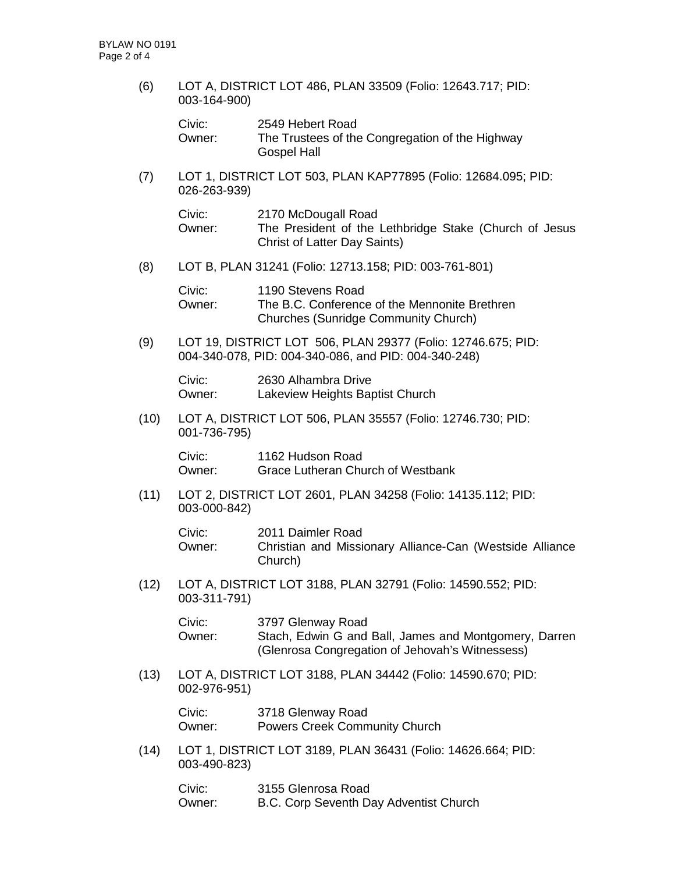(6) LOT A, DISTRICT LOT 486, PLAN 33509 (Folio: 12643.717; PID: 003-164-900)

| Civic: | 2549 Hebert Road                                |
|--------|-------------------------------------------------|
| Owner: | The Trustees of the Congregation of the Highway |
|        | <b>Gospel Hall</b>                              |

(7) LOT 1, DISTRICT LOT 503, PLAN KAP77895 (Folio: 12684.095; PID: 026-263-939)

| Civic: | 2170 McDougall Road                                    |  |  |  |  |  |  |
|--------|--------------------------------------------------------|--|--|--|--|--|--|
| Owner: | The President of the Lethbridge Stake (Church of Jesus |  |  |  |  |  |  |
|        | <b>Christ of Latter Day Saints)</b>                    |  |  |  |  |  |  |

(8) LOT B, PLAN 31241 (Folio: 12713.158; PID: 003-761-801)

| Civic: | 1190 Stevens Road                             |
|--------|-----------------------------------------------|
| Owner: | The B.C. Conference of the Mennonite Brethren |
|        | Churches (Sunridge Community Church)          |

(9) LOT 19, DISTRICT LOT 506, PLAN 29377 (Folio: 12746.675; PID: 004-340-078, PID: 004-340-086, and PID: 004-340-248)

Civic: 2630 Alhambra Drive Owner: Lakeview Heights Baptist Church

(10) LOT A, DISTRICT LOT 506, PLAN 35557 (Folio: 12746.730; PID: 001-736-795)

Civic: 1162 Hudson Road Owner: Grace Lutheran Church of Westbank

(11) LOT 2, DISTRICT LOT 2601, PLAN 34258 (Folio: 14135.112; PID: 003-000-842)

| Civic: | 2011 Daimler Road                                                   |
|--------|---------------------------------------------------------------------|
| Owner: | Christian and Missionary Alliance-Can (Westside Alliance<br>Church) |

(12) LOT A, DISTRICT LOT 3188, PLAN 32791 (Folio: 14590.552; PID: 003-311-791)

| Civic: | 3797 Glenway Road                                     |
|--------|-------------------------------------------------------|
| Owner: | Stach, Edwin G and Ball, James and Montgomery, Darren |
|        | (Glenrosa Congregation of Jehovah's Witnessess)       |

(13) LOT A, DISTRICT LOT 3188, PLAN 34442 (Folio: 14590.670; PID: 002-976-951)

| Civic: | 3718 Glenway Road                    |
|--------|--------------------------------------|
| Owner: | <b>Powers Creek Community Church</b> |

(14) LOT 1, DISTRICT LOT 3189, PLAN 36431 (Folio: 14626.664; PID: 003-490-823)

| Civic: | 3155 Glenrosa Road                     |
|--------|----------------------------------------|
| Owner: | B.C. Corp Seventh Day Adventist Church |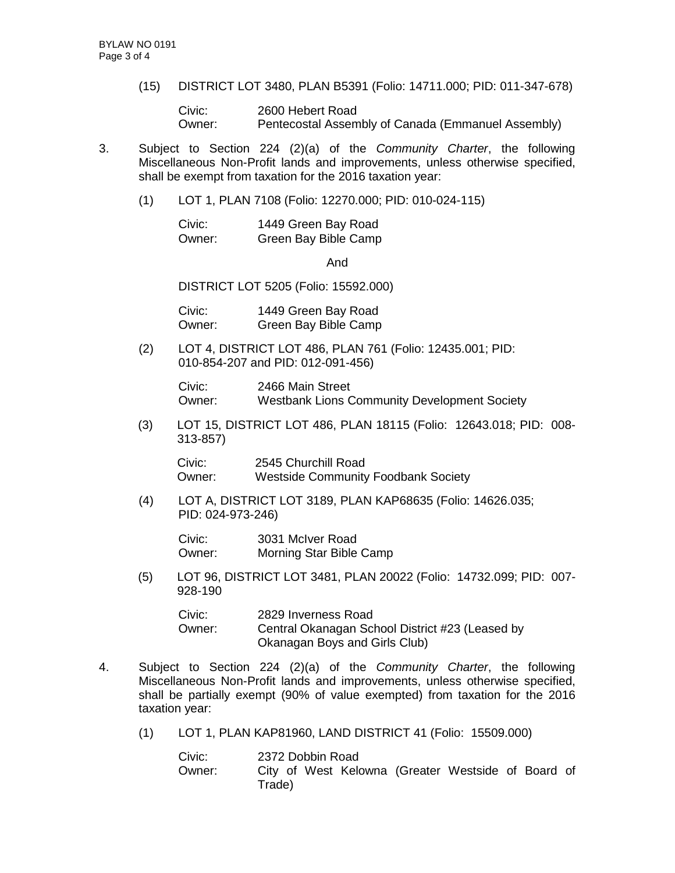(15) DISTRICT LOT 3480, PLAN B5391 (Folio: 14711.000; PID: 011-347-678)

Civic: 2600 Hebert Road Owner: Pentecostal Assembly of Canada (Emmanuel Assembly)

- 3. Subject to Section 224 (2)(a) of the *Community Charter*, the following Miscellaneous Non-Profit lands and improvements, unless otherwise specified, shall be exempt from taxation for the 2016 taxation year:
	- (1) LOT 1, PLAN 7108 (Folio: 12270.000; PID: 010-024-115)

| Civic: | 1449 Green Bay Road  |
|--------|----------------------|
| Owner: | Green Bay Bible Camp |

And

DISTRICT LOT 5205 (Folio: 15592.000)

Civic: 1449 Green Bay Road Owner: Green Bay Bible Camp

(2) LOT 4, DISTRICT LOT 486, PLAN 761 (Folio: 12435.001; PID: 010-854-207 and PID: 012-091-456)

> Civic: 2466 Main Street<br>Owner: Westbank Lions C Westbank Lions Community Development Society

(3) LOT 15, DISTRICT LOT 486, PLAN 18115 (Folio: 12643.018; PID: 008- 313-857)

Civic: 2545 Churchill Road Owner: Westside Community Foodbank Society

(4) LOT A, DISTRICT LOT 3189, PLAN KAP68635 (Folio: 14626.035; PID: 024-973-246)

Civic: 3031 McIver Road Owner: Morning Star Bible Camp

(5) LOT 96, DISTRICT LOT 3481, PLAN 20022 (Folio: 14732.099; PID: 007- 928-190

| Civic: | 2829 Inverness Road                             |
|--------|-------------------------------------------------|
| Owner: | Central Okanagan School District #23 (Leased by |
|        | Okanagan Boys and Girls Club)                   |

- 4. Subject to Section 224 (2)(a) of the *Community Charter*, the following Miscellaneous Non-Profit lands and improvements, unless otherwise specified, shall be partially exempt (90% of value exempted) from taxation for the 2016 taxation year:
	- (1) LOT 1, PLAN KAP81960, LAND DISTRICT 41 (Folio: 15509.000)

| Civic: | 2372 Dobbin Road |  |  |  |  |                                                    |  |  |  |
|--------|------------------|--|--|--|--|----------------------------------------------------|--|--|--|
| Owner: | Trade)           |  |  |  |  | City of West Kelowna (Greater Westside of Board of |  |  |  |